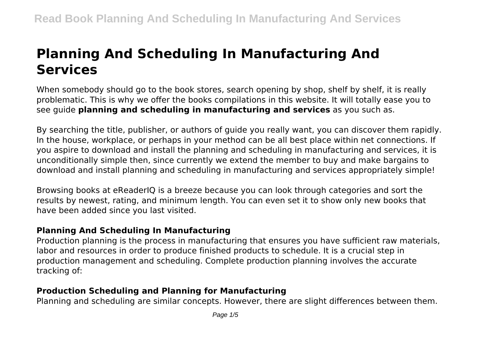# **Planning And Scheduling In Manufacturing And Services**

When somebody should go to the book stores, search opening by shop, shelf by shelf, it is really problematic. This is why we offer the books compilations in this website. It will totally ease you to see guide **planning and scheduling in manufacturing and services** as you such as.

By searching the title, publisher, or authors of guide you really want, you can discover them rapidly. In the house, workplace, or perhaps in your method can be all best place within net connections. If you aspire to download and install the planning and scheduling in manufacturing and services, it is unconditionally simple then, since currently we extend the member to buy and make bargains to download and install planning and scheduling in manufacturing and services appropriately simple!

Browsing books at eReaderIQ is a breeze because you can look through categories and sort the results by newest, rating, and minimum length. You can even set it to show only new books that have been added since you last visited.

# **Planning And Scheduling In Manufacturing**

Production planning is the process in manufacturing that ensures you have sufficient raw materials, labor and resources in order to produce finished products to schedule. It is a crucial step in production management and scheduling. Complete production planning involves the accurate tracking of:

# **Production Scheduling and Planning for Manufacturing**

Planning and scheduling are similar concepts. However, there are slight differences between them.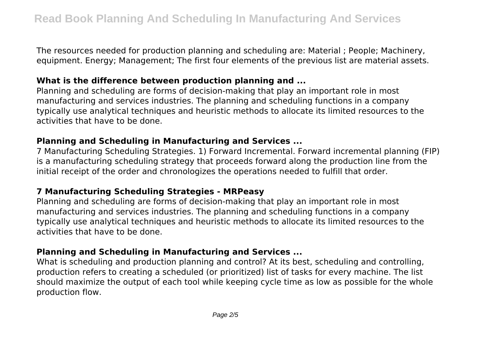The resources needed for production planning and scheduling are: Material ; People; Machinery, equipment. Energy; Management; The first four elements of the previous list are material assets.

## **What is the difference between production planning and ...**

Planning and scheduling are forms of decision-making that play an important role in most manufacturing and services industries. The planning and scheduling functions in a company typically use analytical techniques and heuristic methods to allocate its limited resources to the activities that have to be done.

## **Planning and Scheduling in Manufacturing and Services ...**

7 Manufacturing Scheduling Strategies. 1) Forward Incremental. Forward incremental planning (FIP) is a manufacturing scheduling strategy that proceeds forward along the production line from the initial receipt of the order and chronologizes the operations needed to fulfill that order.

# **7 Manufacturing Scheduling Strategies - MRPeasy**

Planning and scheduling are forms of decision-making that play an important role in most manufacturing and services industries. The planning and scheduling functions in a company typically use analytical techniques and heuristic methods to allocate its limited resources to the activities that have to be done.

# **Planning and Scheduling in Manufacturing and Services ...**

What is scheduling and production planning and control? At its best, scheduling and controlling, production refers to creating a scheduled (or prioritized) list of tasks for every machine. The list should maximize the output of each tool while keeping cycle time as low as possible for the whole production flow.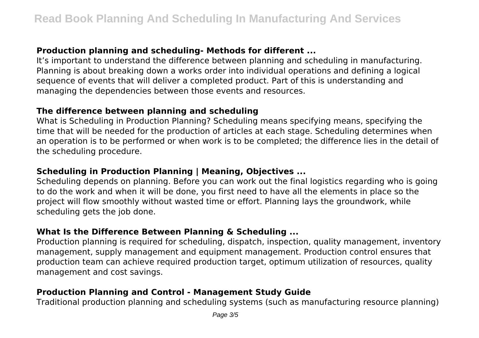# **Production planning and scheduling- Methods for different ...**

It's important to understand the difference between planning and scheduling in manufacturing. Planning is about breaking down a works order into individual operations and defining a logical sequence of events that will deliver a completed product. Part of this is understanding and managing the dependencies between those events and resources.

## **The difference between planning and scheduling**

What is Scheduling in Production Planning? Scheduling means specifying means, specifying the time that will be needed for the production of articles at each stage. Scheduling determines when an operation is to be performed or when work is to be completed; the difference lies in the detail of the scheduling procedure.

# **Scheduling in Production Planning | Meaning, Objectives ...**

Scheduling depends on planning. Before you can work out the final logistics regarding who is going to do the work and when it will be done, you first need to have all the elements in place so the project will flow smoothly without wasted time or effort. Planning lays the groundwork, while scheduling gets the job done.

# **What Is the Difference Between Planning & Scheduling ...**

Production planning is required for scheduling, dispatch, inspection, quality management, inventory management, supply management and equipment management. Production control ensures that production team can achieve required production target, optimum utilization of resources, quality management and cost savings.

# **Production Planning and Control - Management Study Guide**

Traditional production planning and scheduling systems (such as manufacturing resource planning)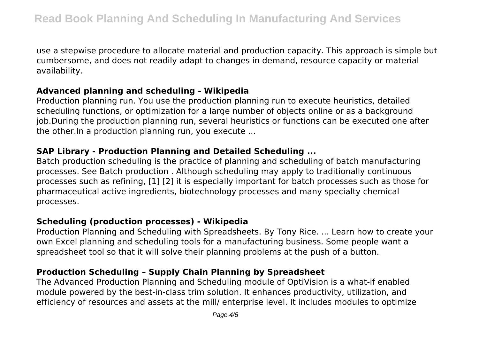use a stepwise procedure to allocate material and production capacity. This approach is simple but cumbersome, and does not readily adapt to changes in demand, resource capacity or material availability.

## **Advanced planning and scheduling - Wikipedia**

Production planning run. You use the production planning run to execute heuristics, detailed scheduling functions, or optimization for a large number of objects online or as a background job.During the production planning run, several heuristics or functions can be executed one after the other.In a production planning run, you execute ...

# **SAP Library - Production Planning and Detailed Scheduling ...**

Batch production scheduling is the practice of planning and scheduling of batch manufacturing processes. See Batch production . Although scheduling may apply to traditionally continuous processes such as refining, [1] [2] it is especially important for batch processes such as those for pharmaceutical active ingredients, biotechnology processes and many specialty chemical processes.

# **Scheduling (production processes) - Wikipedia**

Production Planning and Scheduling with Spreadsheets. By Tony Rice. ... Learn how to create your own Excel planning and scheduling tools for a manufacturing business. Some people want a spreadsheet tool so that it will solve their planning problems at the push of a button.

# **Production Scheduling – Supply Chain Planning by Spreadsheet**

The Advanced Production Planning and Scheduling module of OptiVision is a what-if enabled module powered by the best-in-class trim solution. It enhances productivity, utilization, and efficiency of resources and assets at the mill/ enterprise level. It includes modules to optimize